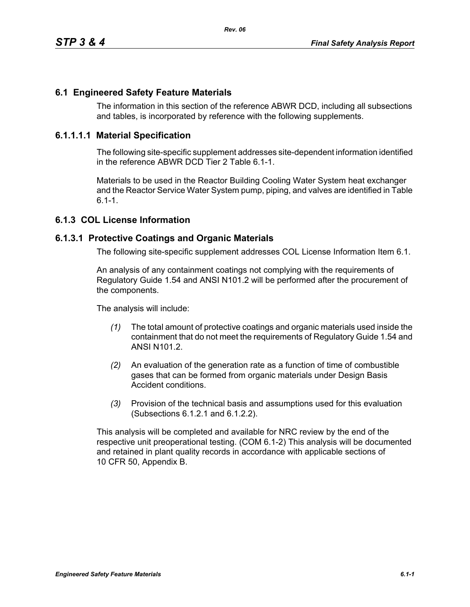### **6.1 Engineered Safety Feature Materials**

The information in this section of the reference ABWR DCD, including all subsections and tables, is incorporated by reference with the following supplements.

#### **6.1.1.1.1 Material Specification**

The following site-specific supplement addresses site-dependent information identified in the reference ABWR DCD Tier 2 Table 6.1-1.

Materials to be used in the Reactor Building Cooling Water System heat exchanger and the Reactor Service Water System pump, piping, and valves are identified in Table  $6.1 - 1.$ 

# **6.1.3 COL License Information**

#### **6.1.3.1 Protective Coatings and Organic Materials**

The following site-specific supplement addresses COL License Information Item 6.1.

An analysis of any containment coatings not complying with the requirements of Regulatory Guide 1.54 and ANSI N101.2 will be performed after the procurement of the components.

The analysis will include:

- *(1)* The total amount of protective coatings and organic materials used inside the containment that do not meet the requirements of Regulatory Guide 1.54 and ANSI N101.2.
- *(2)* An evaluation of the generation rate as a function of time of combustible gases that can be formed from organic materials under Design Basis Accident conditions.
- *(3)* Provision of the technical basis and assumptions used for this evaluation (Subsections 6.1.2.1 and 6.1.2.2).

This analysis will be completed and available for NRC review by the end of the respective unit preoperational testing. (COM 6.1-2) This analysis will be documented and retained in plant quality records in accordance with applicable sections of 10 CFR 50, Appendix B.